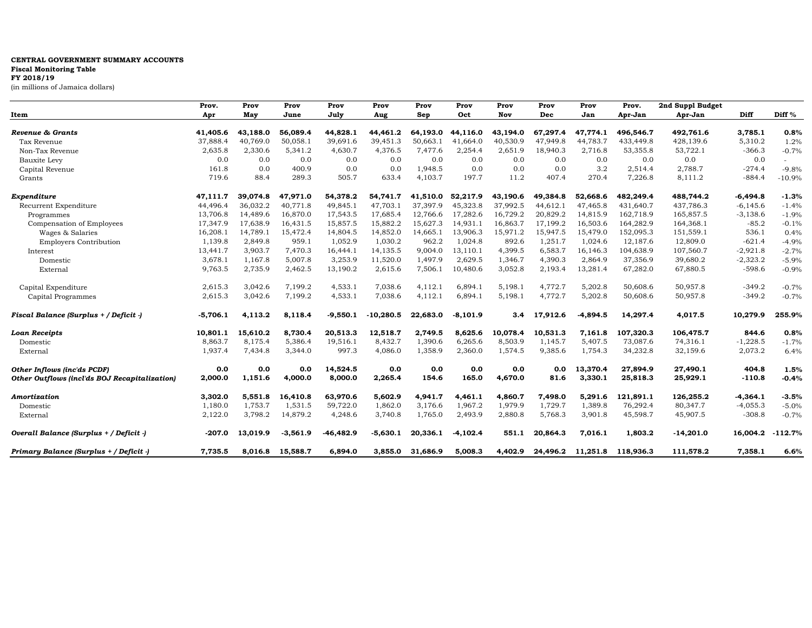## **CENTRAL GOVERNMENT SUMMARY ACCOUNTS**

## **Fiscal Monitoring Table**

**FY 2018/19**

(in millions of Jamaica dollars)

|                                               | Prov.      | Prov     | Prov     | Prov         | Prov        | Prov     | Prov       | Prov     | Prov     | Prov              | Prov.     | 2nd Suppl Budget |            |           |
|-----------------------------------------------|------------|----------|----------|--------------|-------------|----------|------------|----------|----------|-------------------|-----------|------------------|------------|-----------|
| Item                                          | Apr        | May      | June     | July         | Aug         | Sep      | Oct        | Nov      | Dec      | Jan               | Apr-Jan   | Apr-Jan          | Diff       | Diff %    |
| Revenue & Grants                              | 41,405.6   | 43.188.0 | 56.089.4 | 44,828.1     | 44.461.2    | 64,193.0 | 44.116.0   | 43.194.0 | 67.297.4 | 47.774.1          | 496.546.7 | 492.761.6        | 3,785.1    | 0.8%      |
| Tax Revenue                                   | 37,888.4   | 40,769.0 | 50,058.1 | 39,691.6     | 39,451.3    | 50.663.1 | 41,664.0   | 40,530.9 | 47,949.8 | 44,783.7          | 433,449.8 | 428,139.6        | 5,310.2    | 1.2%      |
| Non-Tax Revenue                               | 2,635.8    | 2,330.6  | 5,341.2  | 4,630.7      | 4,376.5     | 7,477.6  | 2,254.4    | 2,651.9  | 18,940.3 | 2,716.8           | 53,355.8  | 53,722.1         | $-366.3$   | $-0.7%$   |
| Bauxite Levy                                  | 0.0        | 0.0      | 0.0      | 0.0          | 0.0         | 0.0      | 0.0        | 0.0      | 0.0      | 0.0               | 0.0       | 0.0              | 0.0        |           |
| Capital Revenue                               | 161.8      | 0.0      | 400.9    | 0.0          | 0.0         | 1,948.5  | 0.0        | 0.0      | 0.0      | 3.2               | 2,514.4   | 2,788.7          | $-274.4$   | $-9.8%$   |
| Grants                                        | 719.6      | 88.4     | 289.3    | 505.7        | 633.4       | 4,103.7  | 197.7      | 11.2     | 407.4    | 270.4             | 7,226.8   | 8,111.2          | $-884.4$   | $-10.9%$  |
| Expenditure                                   | 47,111.7   | 39,074.8 | 47,971.0 | 54,378.2     | 54,741.7    | 41,510.0 | 52,217.9   | 43,190.6 | 49,384.8 | 52,668.6          | 482,249.4 | 488,744.2        | $-6,494.8$ | $-1.3%$   |
| Recurrent Expenditure                         | 44,496.4   | 36,032.2 | 40,771.8 | 49,845.1     | 47,703.1    | 37,397.9 | 45,323.8   | 37,992.5 | 44,612.1 | 47,465.8          | 431,640.7 | 437,786.3        | $-6,145.6$ | $-1.4%$   |
| Programmes                                    | 13,706.8   | 14,489.6 | 16,870.0 | 17,543.5     | 17,685.4    | 12.766.6 | 17,282.6   | 16,729.2 | 20,829.2 | 14,815.9          | 162,718.9 | 165,857.5        | $-3,138.6$ | $-1.9%$   |
| Compensation of Employees                     | 17,347.9   | 17,638.9 | 16,431.5 | 15,857.5     | 15,882.2    | 15,627.3 | 14,931.1   | 16,863.7 | 17,199.2 | 16,503.6          | 164,282.9 | 164,368.1        | $-85.2$    | $-0.1%$   |
| Wages & Salaries                              | 16,208.1   | 14,789.1 | 15,472.4 | 14,804.5     | 14,852.0    | 14,665.1 | 13,906.3   | 15,971.2 | 15,947.5 | 15,479.0          | 152,095.3 | 151,559.1        | 536.1      | 0.4%      |
| <b>Employers Contribution</b>                 | 1,139.8    | 2,849.8  | 959.1    | 1,052.9      | 1,030.2     | 962.2    | 1,024.8    | 892.6    | 1,251.7  | 1,024.6           | 12,187.6  | 12,809.0         | $-621.4$   | $-4.9%$   |
| Interest                                      | 13,441.7   | 3,903.7  | 7,470.3  | 16,444.1     | 14,135.5    | 9,004.0  | 13,110.1   | 4,399.5  | 6,583.7  | 16,146.3          | 104,638.9 | 107,560.7        | $-2,921.8$ | $-2.7%$   |
| Domestic                                      | 3,678.1    | 1,167.8  | 5,007.8  | 3,253.9      | 11,520.0    | 1,497.9  | 2,629.5    | 1,346.7  | 4,390.3  | 2,864.9           | 37,356.9  | 39,680.2         | $-2,323.2$ | $-5.9%$   |
| External                                      | 9,763.5    | 2,735.9  | 2,462.5  | 13,190.2     | 2,615.6     | 7,506.1  | 10,480.6   | 3,052.8  | 2,193.4  | 13,281.4          | 67,282.0  | 67,880.5         | $-598.6$   | $-0.9%$   |
| Capital Expenditure                           | 2,615.3    | 3,042.6  | 7,199.2  | 4,533.1      | 7,038.6     | 4,112.1  | 6,894.1    | 5,198.1  | 4,772.7  | 5,202.8           | 50,608.6  | 50,957.8         | $-349.2$   | $-0.7%$   |
| Capital Programmes                            | 2,615.3    | 3,042.6  | 7,199.2  | 4,533.1      | 7,038.6     | 4,112.1  | 6,894.1    | 5,198.1  | 4,772.7  | 5,202.8           | 50,608.6  | 50,957.8         | $-349.2$   | $-0.7%$   |
| Fiscal Balance (Surplus + / Deficit -)        | $-5,706.1$ | 4,113.2  | 8,118.4  | $-9,550.1$   | $-10,280.5$ | 22,683.0 | $-8,101.9$ | 3.4      | 17,912.6 | $-4,894.5$        | 14,297.4  | 4,017.5          | 10,279.9   | 255.9%    |
| <b>Loan Receipts</b>                          | 10,801.1   | 15,610.2 | 8,730.4  | 20,513.3     | 12,518.7    | 2,749.5  | 8,625.6    | 10,078.4 | 10,531.3 | 7,161.8           | 107,320.3 | 106,475.7        | 844.6      | 0.8%      |
| Domestic                                      | 8,863.7    | 8,175.4  | 5,386.4  | 19,516.1     | 8,432.7     | 1,390.6  | 6,265.6    | 8,503.9  | 1,145.7  | 5,407.5           | 73,087.6  | 74,316.1         | $-1,228.5$ | $-1.7%$   |
| External                                      | 1,937.4    | 7,434.8  | 3,344.0  | 997.3        | 4,086.0     | 1,358.9  | 2,360.0    | 1,574.5  | 9,385.6  | 1,754.3           | 34,232.8  | 32,159.6         | 2,073.2    | 6.4%      |
| Other Inflows (inc'ds PCDF)                   | 0.0        | 0.0      | 0.0      | 14,524.5     | 0.0         | 0.0      | 0.0        | 0.0      | 0.0      | 13,370.4          | 27,894.9  | 27,490.1         | 404.8      | 1.5%      |
| Other Outflows (incl'ds BOJ Recapitalization) | 2,000.0    | 1,151.6  | 4,000.0  | 8,000.0      | 2,265.4     | 154.6    | 165.0      | 4,670.0  | 81.6     | 3,330.1           | 25,818.3  | 25,929.1         | $-110.8$   | $-0.4%$   |
| Amortization                                  | 3,302.0    | 5,551.8  | 16,410.8 | 63,970.6     | 5,602.9     | 4,941.7  | 4,461.1    | 4,860.7  | 7,498.0  | 5,291.6           | 121,891.1 | 126,255.2        | $-4,364.1$ | $-3.5%$   |
| Domestic                                      | 1,180.0    | 1,753.7  | 1,531.5  | 59,722.0     | 1,862.0     | 3,176.6  | 1,967.2    | 1,979.9  | 1,729.7  | 1,389.8           | 76,292.4  | 80,347.7         | $-4,055.3$ | $-5.0%$   |
| External                                      | 2,122.0    | 3,798.2  | 14,879.2 | 4,248.6      | 3,740.8     | 1,765.0  | 2,493.9    | 2,880.8  | 5,768.3  | 3,901.8           | 45,598.7  | 45,907.5         | $-308.8$   | $-0.7%$   |
| Overall Balance (Surplus + / Deficit -)       | $-207.0$   | 13,019.9 | -3,561.9 | $-46, 482.9$ | $-5,630.1$  | 20,336.1 | $-4,102.4$ | 551.1    | 20,864.3 | 7,016.1           | 1,803.2   | $-14,201.0$      | 16,004.2   | $-112.7%$ |
| Primary Balance (Surplus + / Deficit -)       | 7.735.5    | 8.016.8  | 15,588.7 | 6,894.0      | 3.855.0     | 31.686.9 | 5,008.3    | 4,402.9  |          | 24,496.2 11,251.8 | 118,936.3 | 111.578.2        | 7,358.1    | 6.6%      |